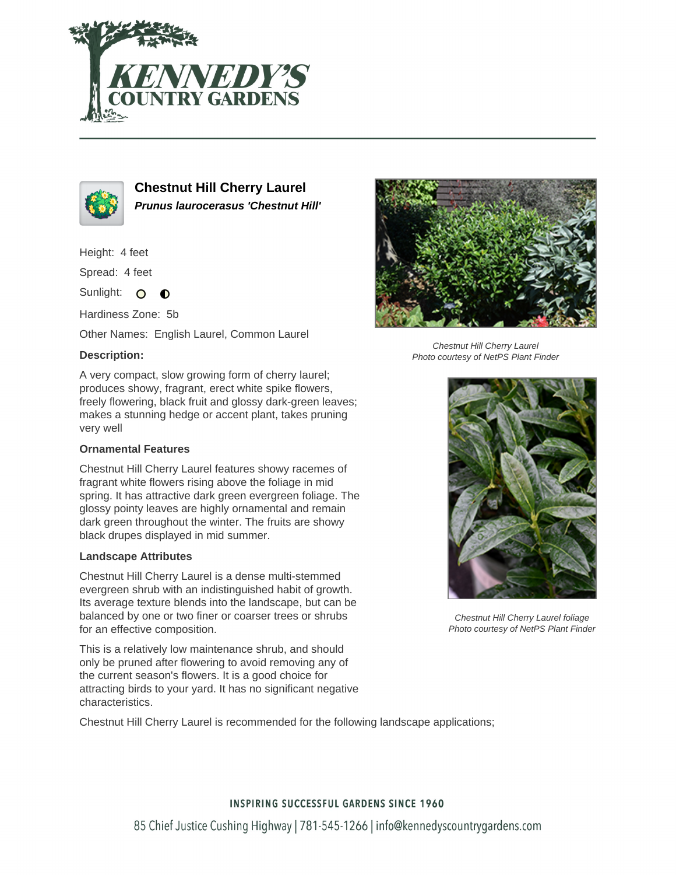



**Chestnut Hill Cherry Laurel Prunus laurocerasus 'Chestnut Hill'**

Height: 4 feet

Spread: 4 feet

Sunlight: O  $\bullet$ 

Hardiness Zone: 5b

Other Names: English Laurel, Common Laurel

### **Description:**

A very compact, slow growing form of cherry laurel; produces showy, fragrant, erect white spike flowers, freely flowering, black fruit and glossy dark-green leaves; makes a stunning hedge or accent plant, takes pruning very well

#### **Ornamental Features**

Chestnut Hill Cherry Laurel features showy racemes of fragrant white flowers rising above the foliage in mid spring. It has attractive dark green evergreen foliage. The glossy pointy leaves are highly ornamental and remain dark green throughout the winter. The fruits are showy black drupes displayed in mid summer.

#### **Landscape Attributes**

Chestnut Hill Cherry Laurel is a dense multi-stemmed evergreen shrub with an indistinguished habit of growth. Its average texture blends into the landscape, but can be balanced by one or two finer or coarser trees or shrubs for an effective composition.

This is a relatively low maintenance shrub, and should only be pruned after flowering to avoid removing any of the current season's flowers. It is a good choice for attracting birds to your yard. It has no significant negative characteristics.

Chestnut Hill Cherry Laurel is recommended for the following landscape applications;



Chestnut Hill Cherry Laurel Photo courtesy of NetPS Plant Finder



Chestnut Hill Cherry Laurel foliage Photo courtesy of NetPS Plant Finder

# **INSPIRING SUCCESSFUL GARDENS SINCE 1960**

85 Chief Justice Cushing Highway | 781-545-1266 | info@kennedyscountrygardens.com